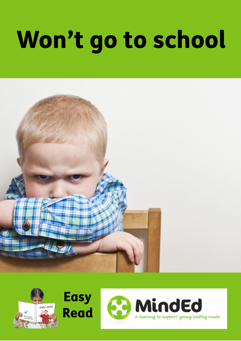# Won't go to school







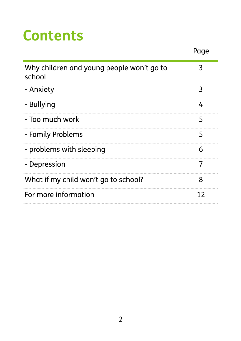## **Contents**

|                                                     | Page |
|-----------------------------------------------------|------|
| Why children and young people won't go to<br>school | 3    |
| - Anxiety                                           | 3    |
| - Bullying                                          | 4    |
| - Too much work                                     | 5    |
| - Family Problems                                   | 5    |
| - problems with sleeping                            | 6    |
| - Depression                                        | 7    |
| What if my child won't go to school?                | 8    |
| For more information                                | 12   |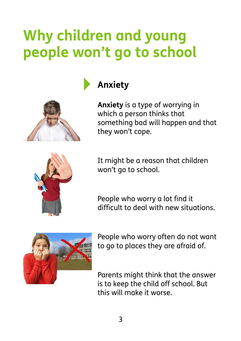## **Why children and young people won't go to school**





**Anxiety** is a type of worrying in which a person thinks that something bad will happen and that they won't cope.



It might be a reason that children won't go to school.

People who worry a lot find it difficult to deal with new situations.



People who worry often do not want to go to places they are afraid of.

Parents might think that the answer is to keep the child off school. But this will make it worse.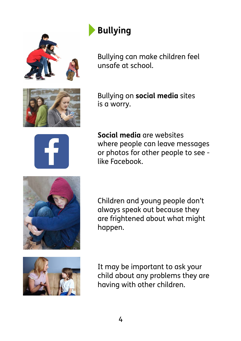

#### **‣Bullying**

Bullying can make children feel unsafe at school.

Bullying on **social media** sites is a worry.



**Social media** are websites where people can leave messages or photos for other people to see like Facebook.



Children and young people don't always speak out because they are frightened about what might happen.



It may be important to ask your child about any problems they are having with other children.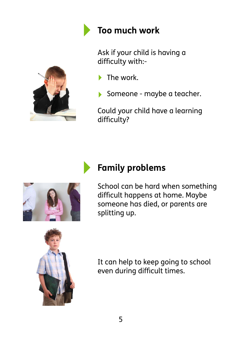

#### **‣ Too much work**

Ask if your child is having a difficulty with:-



Someone - maybe a teacher.

Could your child have a learning difficulty?



#### **‣ Family problems**

School can be hard when something difficult happens at home. Maybe someone has died, or parents are splitting up.



It can help to keep going to school even during difficult times.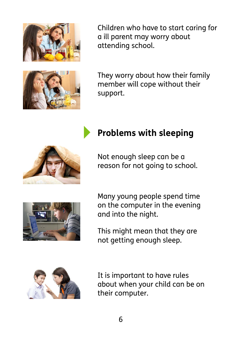

Children who have to start caring for a ill parent may worry about attending school.



They worry about how their family member will cope without their support.





Not enough sleep can be a reason for not going to school.



Many young people spend time on the computer in the evening and into the night.

This might mean that they are not getting enough sleep.



It is important to have rules about when your child can be on their computer.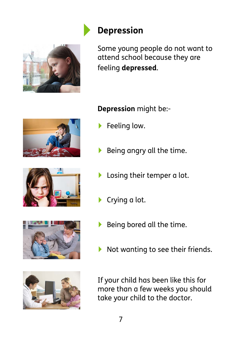

#### **‣ Depression**

Some young people do not want to attend school because they are feeling **depressed**.









#### **Depression** might be:-

- **Feeling low.**
- ‣ Being angry all the time.
- **I** Losing their temper a lot.
- ▶ Crying a lot.
- Being bored all the time.
- ‣ Not wanting to see their friends.

If your child has been like this for more than a few weeks you should take your child to the doctor.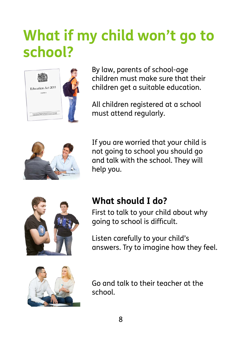### **What if my child won't go to school?**



By law, parents of school-age children must make sure that their children get a suitable education.

All children registered at a school must attend regularly.



If you are worried that your child is not going to school you should go and talk with the school. They will help you.



#### **What should I do?**

First to talk to your child about why going to school is difficult.

Listen carefully to your child's answers. Try to imagine how they feel.



Go and talk to their teacher at the school.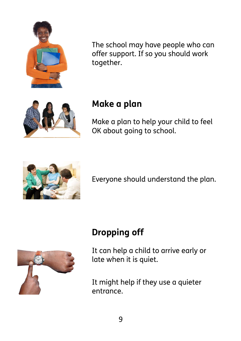

The school may have people who can offer support. If so you should work together.



#### **Make a plan**

Make a plan to help your child to feel OK about going to school.



Everyone should understand the plan.



#### **Dropping off**

It can help a child to arrive early or late when it is quiet.

It might help if they use a quieter entrance.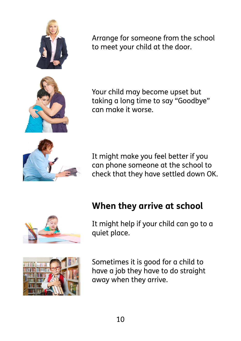

Arrange for someone from the school to meet your child at the door.

Your child may become upset but taking a long time to say "Goodbye" can make it worse.

It might make you feel better if you can phone someone at the school to check that they have settled down OK.

## **When they arrive at school**



It might help if your child can go to a quiet place.



Sometimes it is good for a child to have a job they have to do straight away when they arrive.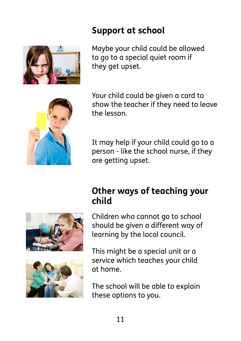#### **Support at school**

Maybe your child could be allowed to go to a special quiet room if they get upset.

Your child could be given a card to show the teacher if they need to leave the lesson.

It may help if your child could go to a person - like the school nurse, if they are getting upset.

#### **Other ways of teaching your child**

Children who cannot go to school should be given a different way of learning by the local council.

This might be a special unit or a service which teaches your child at home.

The school will be able to explain these options to you.